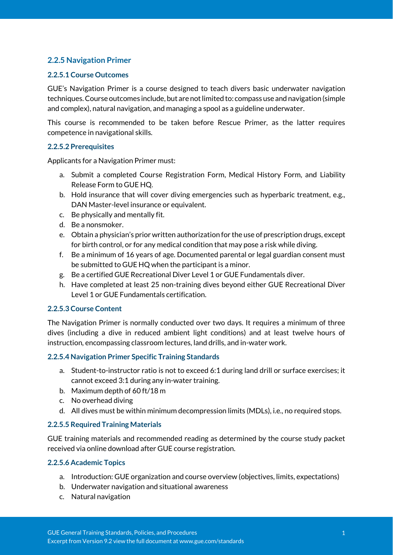# **2.2.5 Navigation Primer**

#### **2.2.5.1 Course Outcomes**

GUE's Navigation Primer is a course designed to teach divers basic underwater navigation techniques. Course outcomes include, but are not limited to: compass use and navigation (simple and complex), natural navigation, and managing a spool as a guideline underwater.

This course is recommended to be taken before Rescue Primer, as the latter requires competence in navigational skills.

#### **2.2.5.2 Prerequisites**

Applicants for a Navigation Primer must:

- a. Submit a completed Course Registration Form, Medical History Form, and Liability Release Form to GUE HQ.
- b. Hold insurance that will cover diving emergencies such as hyperbaric treatment, e.g., DAN Master-level insurance or equivalent.
- c. Be physically and mentally fit.
- d. Be a nonsmoker.
- e. Obtain a physician's prior written authorization for the use of prescription drugs, except for birth control, or for any medical condition that may pose a risk while diving.
- f. Be a minimum of 16 years of age. Documented parental or legal guardian consent must be submitted to GUE HQ when the participant is a minor.
- g. Be a certified GUE Recreational Diver Level 1 or GUE Fundamentals diver.
- h. Have completed at least 25 non-training dives beyond either GUE Recreational Diver Level 1 or GUE Fundamentals certification.

#### **2.2.5.3 Course Content**

The Navigation Primer is normally conducted over two days. It requires a minimum of three dives (including a dive in reduced ambient light conditions) and at least twelve hours of instruction, encompassing classroom lectures, land drills, and in-water work.

#### **2.2.5.4 Navigation Primer Specific Training Standards**

- a. Student-to-instructor ratio is not to exceed 6:1 during land drill or surface exercises; it cannot exceed 3:1 during any in-water training.
- b. Maximum depth of 60 ft/18 m
- c. No overhead diving
- d. All dives must be within minimum decompression limits (MDLs), i.e., no required stops.

## **2.2.5.5 Required Training Materials**

GUE training materials and recommended reading as determined by the course study packet received via online download after GUE course registration.

#### **2.2.5.6 Academic Topics**

- a. Introduction: GUE organization and course overview (objectives, limits, expectations)
- b. Underwater navigation and situational awareness
- c. Natural navigation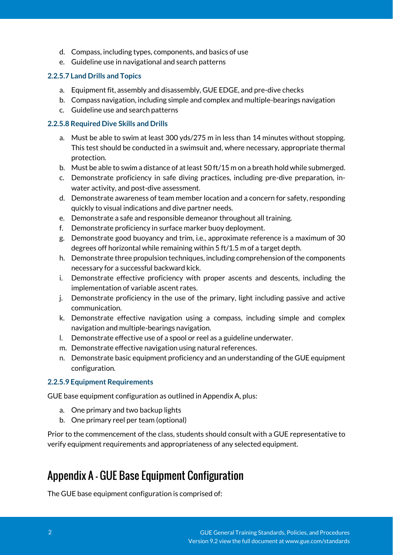- d. Compass, including types, components, and basics of use
- e. Guideline use in navigational and search patterns

## **2.2.5.7 Land Drills and Topics**

- a. Equipment fit, assembly and disassembly, GUE EDGE, and pre-dive checks
- b. Compass navigation, including simple and complex and multiple-bearings navigation
- c. Guideline use and search patterns

#### **2.2.5.8 Required Dive Skills and Drills**

- a. Must be able to swim at least 300 yds/275 m in less than 14 minutes without stopping. This test should be conducted in a swimsuit and, where necessary, appropriate thermal protection.
- b. Must be able to swim a distance of at least 50 ft/15 m on a breath hold while submerged.
- c. Demonstrate proficiency in safe diving practices, including pre-dive preparation, inwater activity, and post-dive assessment.
- d. Demonstrate awareness of team member location and a concern for safety, responding quickly to visual indications and dive partner needs.
- e. Demonstrate a safe and responsible demeanor throughout all training.
- f. Demonstrate proficiency in surface marker buoy deployment.
- g. Demonstrate good buoyancy and trim, i.e., approximate reference is a maximum of 30 degrees off horizontal while remaining within 5 ft/1.5 m of a target depth.
- h. Demonstrate three propulsion techniques, including comprehension of the components necessary for a successful backward kick.
- i. Demonstrate effective proficiency with proper ascents and descents, including the implementation of variable ascent rates.
- j. Demonstrate proficiency in the use of the primary, light including passive and active communication.
- k. Demonstrate effective navigation using a compass, including simple and complex navigation and multiple-bearings navigation.
- l. Demonstrate effective use of a spool or reel as a guideline underwater.
- m. Demonstrate effective navigation using natural references.
- n. Demonstrate basic equipment proficiency and an understanding of the GUE equipment configuration.

## **2.2.5.9 Equipment Requirements**

GUE base equipment configuration as outlined in Appendix A, plus:

- a. One primary and two backup lights
- b. One primary reel per team (optional)

Prior to the commencement of the class, students should consult with a GUE representative to verify equipment requirements and appropriateness of any selected equipment.

# Appendix A - GUE Base Equipment Configuration

The GUE base equipment configuration is comprised of: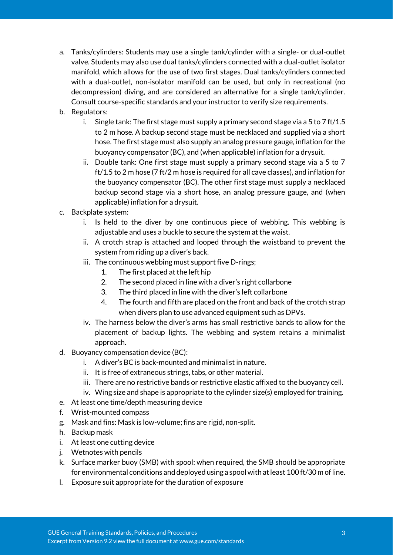- a. Tanks/cylinders: Students may use a single tank/cylinder with a single- or dual-outlet valve. Students may also use dual tanks/cylinders connected with a dual-outlet isolator manifold, which allows for the use of two first stages. Dual tanks/cylinders connected with a dual-outlet, non-isolator manifold can be used, but only in recreational (no decompression) diving, and are considered an alternative for a single tank/cylinder. Consult course-specific standards and your instructor to verify size requirements.
- b. Regulators:
	- i. Single tank: The first stage must supply a primary second stage via a 5 to 7 ft/1.5 to 2 m hose. A backup second stage must be necklaced and supplied via a short hose. The first stage must also supply an analog pressure gauge, inflation for the buoyancy compensator (BC), and (when applicable) inflation for a drysuit.
	- ii. Double tank: One first stage must supply a primary second stage via a 5 to 7 ft/1.5 to 2 m hose (7 ft/2 m hose is required for all cave classes), and inflation for the buoyancy compensator (BC). The other first stage must supply a necklaced backup second stage via a short hose, an analog pressure gauge, and (when applicable) inflation for a drysuit.
- c. Backplate system:
	- i. Is held to the diver by one continuous piece of webbing. This webbing is adjustable and uses a buckle to secure the system at the waist.
	- ii. A crotch strap is attached and looped through the waistband to prevent the system from riding up a diver's back.
	- iii. The continuous webbing must support five D-rings;
		- 1. The first placed at the left hip
		- 2. The second placed in line with a diver's right collarbone
		- 3. The third placed in line with the diver's left collarbone
		- 4. The fourth and fifth are placed on the front and back of the crotch strap when divers plan to use advanced equipment such as DPVs.
	- iv. The harness below the diver's arms has small restrictive bands to allow for the placement of backup lights. The webbing and system retains a minimalist approach.
- d. Buoyancy compensation device (BC):
	- i. A diver's BC is back-mounted and minimalist in nature.
	- ii. It is free of extraneous strings, tabs, or other material.
	- iii. There are no restrictive bands or restrictive elastic affixed to the buoyancy cell.
	- iv. Wing size and shape is appropriate to the cylinder size(s) employed for training.
- e. At least one time/depth measuring device
- f. Wrist-mounted compass
- g. Mask and fins: Mask is low-volume; fins are rigid, non-split.
- h. Backup mask
- i. At least one cutting device
- j. Wetnotes with pencils
- k. Surface marker buoy (SMB) with spool: when required, the SMB should be appropriate for environmental conditions and deployed using a spool with at least 100 ft/30 m of line.
- l. Exposure suit appropriate for the duration of exposure